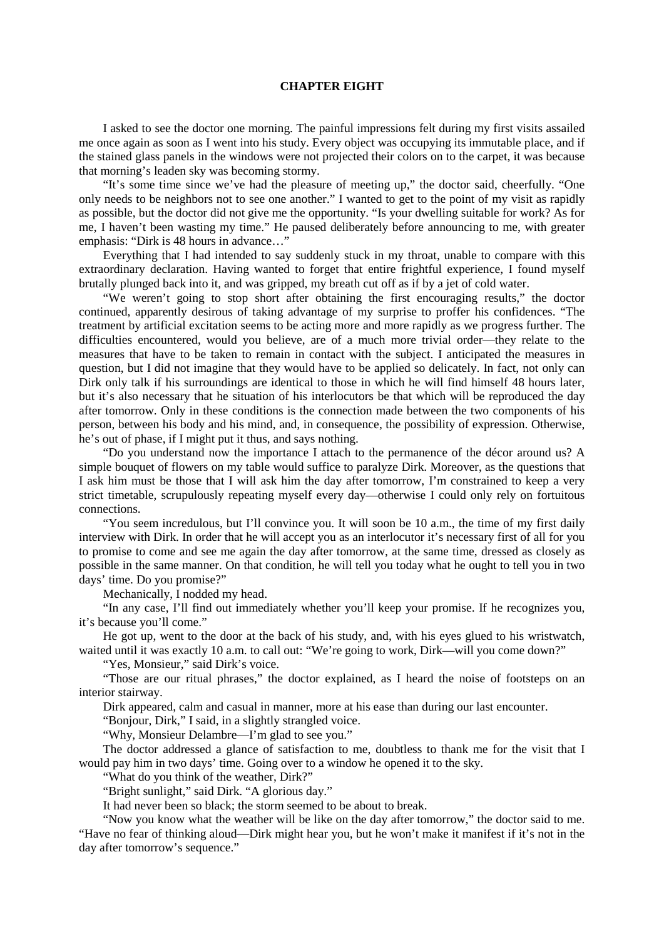## **CHAPTER EIGHT**

I asked to see the doctor one morning. The painful impressions felt during my first visits assailed me once again as soon as I went into his study. Every object was occupying its immutable place, and if the stained glass panels in the windows were not projected their colors on to the carpet, it was because that morning's leaden sky was becoming stormy.

"It's some time since we've had the pleasure of meeting up," the doctor said, cheerfully. "One only needs to be neighbors not to see one another." I wanted to get to the point of my visit as rapidly as possible, but the doctor did not give me the opportunity. "Is your dwelling suitable for work? As for me, I haven't been wasting my time." He paused deliberately before announcing to me, with greater emphasis: "Dirk is 48 hours in advance…"

Everything that I had intended to say suddenly stuck in my throat, unable to compare with this extraordinary declaration. Having wanted to forget that entire frightful experience, I found myself brutally plunged back into it, and was gripped, my breath cut off as if by a jet of cold water.

"We weren't going to stop short after obtaining the first encouraging results," the doctor continued, apparently desirous of taking advantage of my surprise to proffer his confidences. "The treatment by artificial excitation seems to be acting more and more rapidly as we progress further. The difficulties encountered, would you believe, are of a much more trivial order—they relate to the measures that have to be taken to remain in contact with the subject. I anticipated the measures in question, but I did not imagine that they would have to be applied so delicately. In fact, not only can Dirk only talk if his surroundings are identical to those in which he will find himself 48 hours later, but it's also necessary that he situation of his interlocutors be that which will be reproduced the day after tomorrow. Only in these conditions is the connection made between the two components of his person, between his body and his mind, and, in consequence, the possibility of expression. Otherwise, he's out of phase, if I might put it thus, and says nothing.

"Do you understand now the importance I attach to the permanence of the décor around us? A simple bouquet of flowers on my table would suffice to paralyze Dirk. Moreover, as the questions that I ask him must be those that I will ask him the day after tomorrow, I'm constrained to keep a very strict timetable, scrupulously repeating myself every day—otherwise I could only rely on fortuitous connections.

"You seem incredulous, but I'll convince you. It will soon be 10 a.m., the time of my first daily interview with Dirk. In order that he will accept you as an interlocutor it's necessary first of all for you to promise to come and see me again the day after tomorrow, at the same time, dressed as closely as possible in the same manner. On that condition, he will tell you today what he ought to tell you in two days' time. Do you promise?"

Mechanically, I nodded my head.

"In any case, I'll find out immediately whether you'll keep your promise. If he recognizes you, it's because you'll come."

He got up, went to the door at the back of his study, and, with his eyes glued to his wristwatch, waited until it was exactly 10 a.m. to call out: "We're going to work, Dirk—will you come down?"

"Yes, Monsieur," said Dirk's voice.

"Those are our ritual phrases," the doctor explained, as I heard the noise of footsteps on an interior stairway.

Dirk appeared, calm and casual in manner, more at his ease than during our last encounter.

"Bonjour, Dirk," I said, in a slightly strangled voice.

"Why, Monsieur Delambre—I'm glad to see you."

The doctor addressed a glance of satisfaction to me, doubtless to thank me for the visit that I would pay him in two days' time. Going over to a window he opened it to the sky.

"What do you think of the weather, Dirk?"

"Bright sunlight," said Dirk. "A glorious day."

It had never been so black; the storm seemed to be about to break.

"Now you know what the weather will be like on the day after tomorrow," the doctor said to me. "Have no fear of thinking aloud—Dirk might hear you, but he won't make it manifest if it's not in the day after tomorrow's sequence."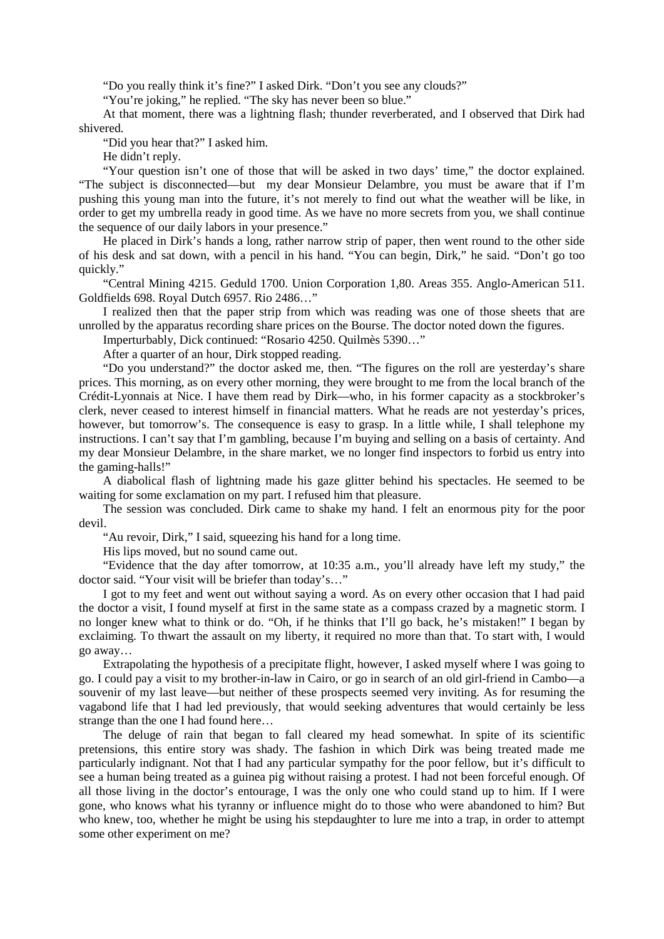"Do you really think it's fine?" I asked Dirk. "Don't you see any clouds?"

"You're joking," he replied. "The sky has never been so blue."

At that moment, there was a lightning flash; thunder reverberated, and I observed that Dirk had shivered.

"Did you hear that?" I asked him.

He didn't reply.

"Your question isn't one of those that will be asked in two days' time," the doctor explained. "The subject is disconnected—but my dear Monsieur Delambre, you must be aware that if I'm pushing this young man into the future, it's not merely to find out what the weather will be like, in order to get my umbrella ready in good time. As we have no more secrets from you, we shall continue the sequence of our daily labors in your presence."

He placed in Dirk's hands a long, rather narrow strip of paper, then went round to the other side of his desk and sat down, with a pencil in his hand. "You can begin, Dirk," he said. "Don't go too quickly."

"Central Mining 4215. Geduld 1700. Union Corporation 1,80. Areas 355. Anglo-American 511. Goldfields 698. Royal Dutch 6957. Rio 2486…"

I realized then that the paper strip from which was reading was one of those sheets that are unrolled by the apparatus recording share prices on the Bourse. The doctor noted down the figures.

Imperturbably, Dick continued: "Rosario 4250. Quilmès 5390…"

After a quarter of an hour, Dirk stopped reading.

"Do you understand?" the doctor asked me, then. "The figures on the roll are yesterday's share prices. This morning, as on every other morning, they were brought to me from the local branch of the Crédit-Lyonnais at Nice. I have them read by Dirk—who, in his former capacity as a stockbroker's clerk, never ceased to interest himself in financial matters. What he reads are not yesterday's prices, however, but tomorrow's. The consequence is easy to grasp. In a little while, I shall telephone my instructions. I can't say that I'm gambling, because I'm buying and selling on a basis of certainty. And my dear Monsieur Delambre, in the share market, we no longer find inspectors to forbid us entry into the gaming-halls!"

A diabolical flash of lightning made his gaze glitter behind his spectacles. He seemed to be waiting for some exclamation on my part. I refused him that pleasure.

The session was concluded. Dirk came to shake my hand. I felt an enormous pity for the poor devil.

"Au revoir, Dirk," I said, squeezing his hand for a long time.

His lips moved, but no sound came out.

"Evidence that the day after tomorrow, at 10:35 a.m., you'll already have left my study," the doctor said. "Your visit will be briefer than today's…"

I got to my feet and went out without saying a word. As on every other occasion that I had paid the doctor a visit, I found myself at first in the same state as a compass crazed by a magnetic storm. I no longer knew what to think or do. "Oh, if he thinks that I'll go back, he's mistaken!" I began by exclaiming. To thwart the assault on my liberty, it required no more than that. To start with, I would go away…

Extrapolating the hypothesis of a precipitate flight, however, I asked myself where I was going to go. I could pay a visit to my brother-in-law in Cairo, or go in search of an old girl-friend in Cambo—a souvenir of my last leave—but neither of these prospects seemed very inviting. As for resuming the vagabond life that I had led previously, that would seeking adventures that would certainly be less strange than the one I had found here…

The deluge of rain that began to fall cleared my head somewhat. In spite of its scientific pretensions, this entire story was shady. The fashion in which Dirk was being treated made me particularly indignant. Not that I had any particular sympathy for the poor fellow, but it's difficult to see a human being treated as a guinea pig without raising a protest. I had not been forceful enough. Of all those living in the doctor's entourage, I was the only one who could stand up to him. If I were gone, who knows what his tyranny or influence might do to those who were abandoned to him? But who knew, too, whether he might be using his stepdaughter to lure me into a trap, in order to attempt some other experiment on me?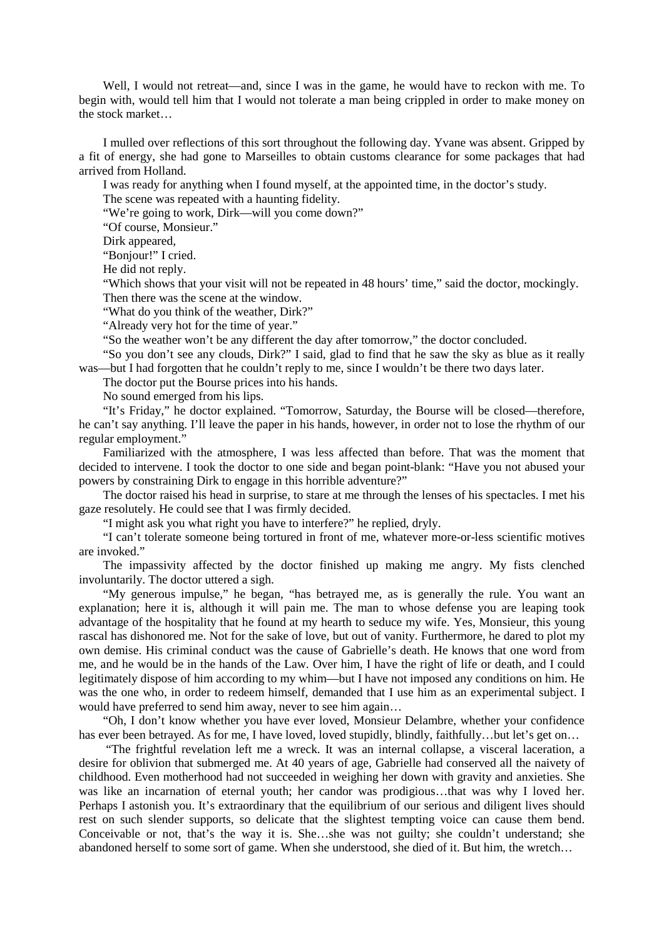Well, I would not retreat—and, since I was in the game, he would have to reckon with me. To begin with, would tell him that I would not tolerate a man being crippled in order to make money on the stock market…

I mulled over reflections of this sort throughout the following day. Yvane was absent. Gripped by a fit of energy, she had gone to Marseilles to obtain customs clearance for some packages that had arrived from Holland.

I was ready for anything when I found myself, at the appointed time, in the doctor's study.

The scene was repeated with a haunting fidelity.

"We're going to work, Dirk—will you come down?"

"Of course, Monsieur."

Dirk appeared.

"Bonjour!" I cried.

He did not reply.

"Which shows that your visit will not be repeated in 48 hours' time," said the doctor, mockingly. Then there was the scene at the window.

"What do you think of the weather, Dirk?"

"Already very hot for the time of year."

"So the weather won't be any different the day after tomorrow," the doctor concluded.

"So you don't see any clouds, Dirk?" I said, glad to find that he saw the sky as blue as it really was—but I had forgotten that he couldn't reply to me, since I wouldn't be there two days later.

The doctor put the Bourse prices into his hands.

No sound emerged from his lips.

"It's Friday," he doctor explained. "Tomorrow, Saturday, the Bourse will be closed—therefore, he can't say anything. I'll leave the paper in his hands, however, in order not to lose the rhythm of our regular employment."

Familiarized with the atmosphere, I was less affected than before. That was the moment that decided to intervene. I took the doctor to one side and began point-blank: "Have you not abused your powers by constraining Dirk to engage in this horrible adventure?"

The doctor raised his head in surprise, to stare at me through the lenses of his spectacles. I met his gaze resolutely. He could see that I was firmly decided.

"I might ask you what right you have to interfere?" he replied, dryly.

"I can't tolerate someone being tortured in front of me, whatever more-or-less scientific motives are invoked."

The impassivity affected by the doctor finished up making me angry. My fists clenched involuntarily. The doctor uttered a sigh.

"My generous impulse," he began, "has betrayed me, as is generally the rule. You want an explanation; here it is, although it will pain me. The man to whose defense you are leaping took advantage of the hospitality that he found at my hearth to seduce my wife. Yes, Monsieur, this young rascal has dishonored me. Not for the sake of love, but out of vanity. Furthermore, he dared to plot my own demise. His criminal conduct was the cause of Gabrielle's death. He knows that one word from me, and he would be in the hands of the Law. Over him, I have the right of life or death, and I could legitimately dispose of him according to my whim—but I have not imposed any conditions on him. He was the one who, in order to redeem himself, demanded that I use him as an experimental subject. I would have preferred to send him away, never to see him again...

"Oh, I don't know whether you have ever loved, Monsieur Delambre, whether your confidence has ever been betrayed. As for me, I have loved, loved stupidly, blindly, faithfully…but let's get on…

"The frightful revelation left me a wreck. It was an internal collapse, a visceral laceration, a desire for oblivion that submerged me. At 40 years of age, Gabrielle had conserved all the naivety of childhood. Even motherhood had not succeeded in weighing her down with gravity and anxieties. She was like an incarnation of eternal youth; her candor was prodigious…that was why I loved her. Perhaps I astonish you. It's extraordinary that the equilibrium of our serious and diligent lives should rest on such slender supports, so delicate that the slightest tempting voice can cause them bend. Conceivable or not, that's the way it is. She…she was not guilty; she couldn't understand; she abandoned herself to some sort of game. When she understood, she died of it. But him, the wretch…